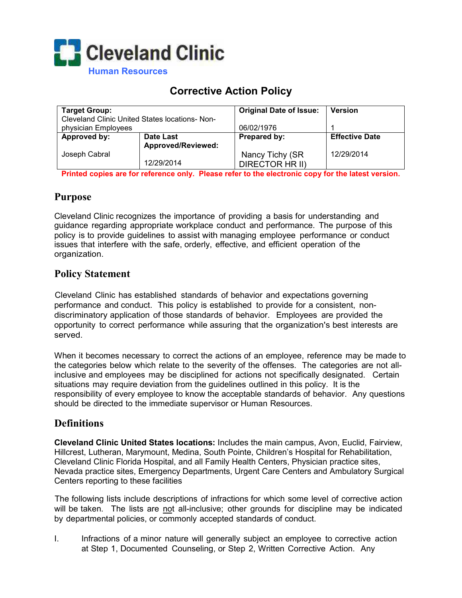

# **Corrective Action Policy**

| <b>Target Group:</b>                           |                    | <b>Original Date of Issue:</b> | <b>Version</b>        |
|------------------------------------------------|--------------------|--------------------------------|-----------------------|
| Cleveland Clinic United States locations- Non- |                    |                                |                       |
| physician Employees                            |                    | 06/02/1976                     |                       |
| Approved by:                                   | Date Last          | Prepared by:                   | <b>Effective Date</b> |
|                                                | Approved/Reviewed: |                                |                       |
| Joseph Cabral                                  |                    | Nancy Tichy (SR                | 12/29/2014            |
|                                                | 12/29/2014         | DIRECTOR HR II)                |                       |

**Printed copies are for reference only. Please refer to the electronic copy for the latest version.** 

# **Purpose**

Cleveland Clinic recognizes the importance of providing a basis for understanding and guidance regarding appropriate workplace conduct and performance. The purpose of this policy is to provide guidelines to assist with managing employee performance or conduct issues that interfere with the safe, orderly, effective, and efficient operation of the organization.

## **Policy Statement**

Cleveland Clinic has established standards of behavior and expectations governing performance and conduct. This policy is established to provide for a consistent, nondiscriminatory application of those standards of behavior. Employees are provided the opportunity to correct performance while assuring that the organization's best interests are served.

When it becomes necessary to correct the actions of an employee, reference may be made to the categories below which relate to the severity of the offenses. The categories are not allinclusive and employees may be disciplined for actions not specifically designated. Certain situations may require deviation from the guidelines outlined in this policy. It is the responsibility of every employee to know the acceptable standards of behavior. Any questions should be directed to the immediate supervisor or Human Resources.

# **Definitions**

**Cleveland Clinic United States locations:** Includes the main campus, Avon, Euclid, Fairview, Hillcrest, Lutheran, Marymount, Medina, South Pointe, Children's Hospital for Rehabilitation, Cleveland Clinic Florida Hospital, and all Family Health Centers, Physician practice sites, Nevada practice sites, Emergency Departments, Urgent Care Centers and Ambulatory Surgical Centers reporting to these facilities

The following lists include descriptions of infractions for which some level of corrective action will be taken. The lists are not all-inclusive; other grounds for discipline may be indicated by departmental policies, or commonly accepted standards of conduct.

I. Infractions of a minor nature will generally subject an employee to corrective action at Step 1, Documented Counseling, or Step 2, Written Corrective Action. Any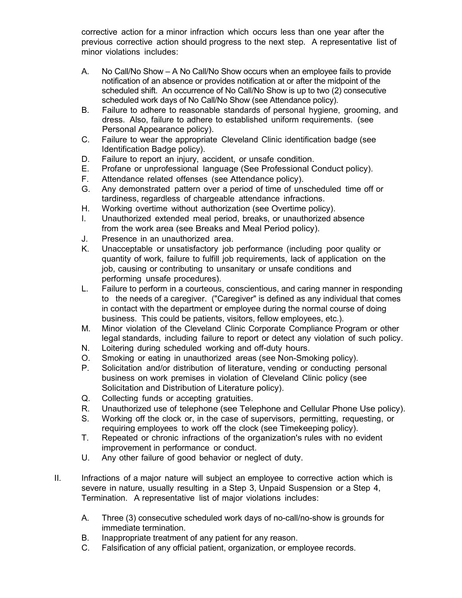corrective action for a minor infraction which occurs less than one year after the previous corrective action should progress to the next step. A representative list of minor violations includes:

- A. No Call/No Show A No Call/No Show occurs when an employee fails to provide notification of an absence or provides notification at or after the midpoint of the scheduled shift. An occurrence of No Call/No Show is up to two (2) consecutive scheduled work days of No Call/No Show (see Attendance policy).
- B. Failure to adhere to reasonable standards of personal hygiene, grooming, and dress. Also, failure to adhere to established uniform requirements. (see Personal Appearance policy).
- C. Failure to wear the appropriate Cleveland Clinic identification badge (see Identification Badge policy).
- D. Failure to report an injury, accident, or unsafe condition.
- E. Profane or unprofessional language (See Professional Conduct policy).
- F. Attendance related offenses (see Attendance policy).
- G. Any demonstrated pattern over a period of time of unscheduled time off or tardiness, regardless of chargeable attendance infractions.
- H. Working overtime without authorization (see Overtime policy).
- I. Unauthorized extended meal period, breaks, or unauthorized absence from the work area (see Breaks and Meal Period policy).
- J. Presence in an unauthorized area.
- K. Unacceptable or unsatisfactory job performance (including poor quality or quantity of work, failure to fulfill job requirements, lack of application on the job, causing or contributing to unsanitary or unsafe conditions and performing unsafe procedures).
- L. Failure to perform in a courteous, conscientious, and caring manner in responding to the needs of a caregiver. ("Caregiver" is defined as any individual that comes in contact with the department or employee during the normal course of doing business. This could be patients, visitors, fellow employees, etc.).
- M. Minor violation of the Cleveland Clinic Corporate Compliance Program or other legal standards, including failure to report or detect any violation of such policy.
- N. Loitering during scheduled working and off-duty hours.
- O. Smoking or eating in unauthorized areas (see Non-Smoking policy).
- P. Solicitation and/or distribution of literature, vending or conducting personal business on work premises in violation of Cleveland Clinic policy (see Solicitation and Distribution of Literature policy).
- Q. Collecting funds or accepting gratuities.
- R. Unauthorized use of telephone (see Telephone and Cellular Phone Use policy).
- S. Working off the clock or, in the case of supervisors, permitting, requesting, or requiring employees to work off the clock (see Timekeeping policy).
- T. Repeated or chronic infractions of the organization's rules with no evident improvement in performance or conduct.
- U. Any other failure of good behavior or neglect of duty.
- II. Infractions of a major nature will subject an employee to corrective action which is severe in nature, usually resulting in a Step 3, Unpaid Suspension or a Step 4, Termination. A representative list of major violations includes:
	- A. Three (3) consecutive scheduled work days of no-call/no-show is grounds for immediate termination.
	- B. Inappropriate treatment of any patient for any reason.
	- C. Falsification of any official patient, organization, or employee records.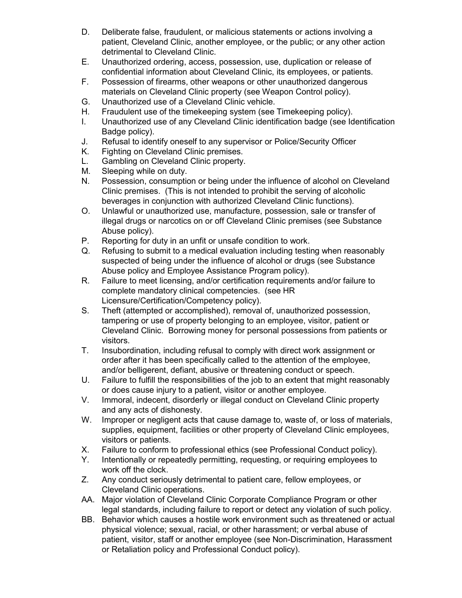- D. Deliberate false, fraudulent, or malicious statements or actions involving a patient, Cleveland Clinic, another employee, or the public; or any other action detrimental to Cleveland Clinic.
- E. Unauthorized ordering, access, possession, use, duplication or release of confidential information about Cleveland Clinic, its employees, or patients.
- F. Possession of firearms, other weapons or other unauthorized dangerous materials on Cleveland Clinic property (see Weapon Control policy).
- G. Unauthorized use of a Cleveland Clinic vehicle.
- H. Fraudulent use of the timekeeping system (see Timekeeping policy).
- I. Unauthorized use of any Cleveland Clinic identification badge (see Identification Badge policy).
- J. Refusal to identify oneself to any supervisor or Police/Security Officer
- K. Fighting on Cleveland Clinic premises.
- L. Gambling on Cleveland Clinic property.
- M. Sleeping while on duty.
- N. Possession, consumption or being under the influence of alcohol on Cleveland Clinic premises. (This is not intended to prohibit the serving of alcoholic beverages in conjunction with authorized Cleveland Clinic functions).
- O. Unlawful or unauthorized use, manufacture, possession, sale or transfer of illegal drugs or narcotics on or off Cleveland Clinic premises (see Substance Abuse policy).
- P. Reporting for duty in an unfit or unsafe condition to work.
- Q. Refusing to submit to a medical evaluation including testing when reasonably suspected of being under the influence of alcohol or drugs (see Substance Abuse policy and Employee Assistance Program policy).
- R. Failure to meet licensing, and/or certification requirements and/or failure to complete mandatory clinical competencies. (see HR Licensure/Certification/Competency policy).
- S. Theft (attempted or accomplished), removal of, unauthorized possession, tampering or use of property belonging to an employee, visitor, patient or Cleveland Clinic. Borrowing money for personal possessions from patients or visitors.
- T. Insubordination, including refusal to comply with direct work assignment or order after it has been specifically called to the attention of the employee, and/or belligerent, defiant, abusive or threatening conduct or speech.
- U. Failure to fulfill the responsibilities of the job to an extent that might reasonably or does cause injury to a patient, visitor or another employee.
- V. Immoral, indecent, disorderly or illegal conduct on Cleveland Clinic property and any acts of dishonesty.
- W. Improper or negligent acts that cause damage to, waste of, or loss of materials, supplies, equipment, facilities or other property of Cleveland Clinic employees, visitors or patients.
- X. Failure to conform to professional ethics (see Professional Conduct policy).
- Y. Intentionally or repeatedly permitting, requesting, or requiring employees to work off the clock.
- Z. Any conduct seriously detrimental to patient care, fellow employees, or Cleveland Clinic operations.
- AA. Major violation of Cleveland Clinic Corporate Compliance Program or other legal standards, including failure to report or detect any violation of such policy.
- BB. Behavior which causes a hostile work environment such as threatened or actual physical violence; sexual, racial, or other harassment; or verbal abuse of patient, visitor, staff or another employee (see Non-Discrimination, Harassment or Retaliation policy and Professional Conduct policy).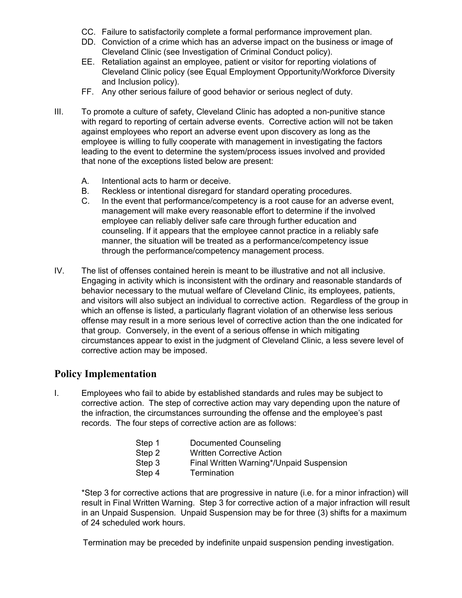- CC. Failure to satisfactorily complete a formal performance improvement plan.
- DD. Conviction of a crime which has an adverse impact on the business or image of Cleveland Clinic (see Investigation of Criminal Conduct policy).
- EE. Retaliation against an employee, patient or visitor for reporting violations of Cleveland Clinic policy (see Equal Employment Opportunity/Workforce Diversity and Inclusion policy).
- FF. Any other serious failure of good behavior or serious neglect of duty.
- III. To promote a culture of safety, Cleveland Clinic has adopted a non-punitive stance with regard to reporting of certain adverse events. Corrective action will not be taken against employees who report an adverse event upon discovery as long as the employee is willing to fully cooperate with management in investigating the factors leading to the event to determine the system/process issues involved and provided that none of the exceptions listed below are present:
	- A. Intentional acts to harm or deceive.
	- B. Reckless or intentional disregard for standard operating procedures.
	- C. In the event that performance/competency is a root cause for an adverse event, management will make every reasonable effort to determine if the involved employee can reliably deliver safe care through further education and counseling. If it appears that the employee cannot practice in a reliably safe manner, the situation will be treated as a performance/competency issue through the performance/competency management process.
- IV. The list of offenses contained herein is meant to be illustrative and not all inclusive. Engaging in activity which is inconsistent with the ordinary and reasonable standards of behavior necessary to the mutual welfare of Cleveland Clinic, its employees, patients, and visitors will also subject an individual to corrective action. Regardless of the group in which an offense is listed, a particularly flagrant violation of an otherwise less serious offense may result in a more serious level of corrective action than the one indicated for that group. Conversely, in the event of a serious offense in which mitigating circumstances appear to exist in the judgment of Cleveland Clinic, a less severe level of corrective action may be imposed.

### **Policy Implementation**

I. Employees who fail to abide by established standards and rules may be subject to corrective action. The step of corrective action may vary depending upon the nature of the infraction, the circumstances surrounding the offense and the employee's past records. The four steps of corrective action are as follows:

| Step 1 | Documented Counseling                    |
|--------|------------------------------------------|
| Step 2 | <b>Written Corrective Action</b>         |
| Step 3 | Final Written Warning*/Unpaid Suspension |
| Step 4 | Termination                              |

\*Step 3 for corrective actions that are progressive in nature (i.e. for a minor infraction) will result in Final Written Warning. Step 3 for corrective action of a major infraction will result in an Unpaid Suspension. Unpaid Suspension may be for three (3) shifts for a maximum of 24 scheduled work hours.

Termination may be preceded by indefinite unpaid suspension pending investigation.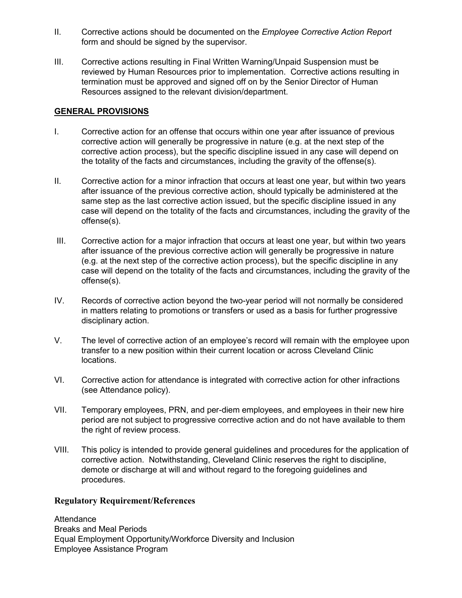- II. Corrective actions should be documented on the *Employee Corrective Action Report* form and should be signed by the supervisor.
- III. Corrective actions resulting in Final Written Warning/Unpaid Suspension must be reviewed by Human Resources prior to implementation. Corrective actions resulting in termination must be approved and signed off on by the Senior Director of Human Resources assigned to the relevant division/department.

#### **GENERAL PROVISIONS**

- I. Corrective action for an offense that occurs within one year after issuance of previous corrective action will generally be progressive in nature (e.g. at the next step of the corrective action process), but the specific discipline issued in any case will depend on the totality of the facts and circumstances, including the gravity of the offense(s).
- II. Corrective action for a minor infraction that occurs at least one year, but within two years after issuance of the previous corrective action, should typically be administered at the same step as the last corrective action issued, but the specific discipline issued in any case will depend on the totality of the facts and circumstances, including the gravity of the offense(s).
- III. Corrective action for a major infraction that occurs at least one year, but within two years after issuance of the previous corrective action will generally be progressive in nature (e.g. at the next step of the corrective action process), but the specific discipline in any case will depend on the totality of the facts and circumstances, including the gravity of the offense(s).
- IV. Records of corrective action beyond the two-year period will not normally be considered in matters relating to promotions or transfers or used as a basis for further progressive disciplinary action.
- V. The level of corrective action of an employee's record will remain with the employee upon transfer to a new position within their current location or across Cleveland Clinic locations.
- VI. Corrective action for attendance is integrated with corrective action for other infractions (see Attendance policy).
- VII. Temporary employees, PRN, and per-diem employees, and employees in their new hire period are not subject to progressive corrective action and do not have available to them the right of review process.
- VIII. This policy is intended to provide general guidelines and procedures for the application of corrective action. Notwithstanding, Cleveland Clinic reserves the right to discipline, demote or discharge at will and without regard to the foregoing guidelines and procedures.

#### **Regulatory Requirement/References**

**Attendance** Breaks and Meal Periods Equal Employment Opportunity/Workforce Diversity and Inclusion Employee Assistance Program